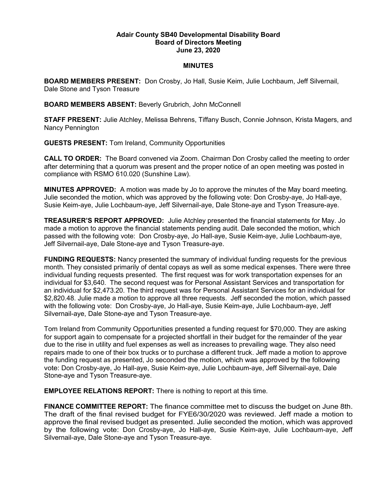## Adair County SB40 Developmental Disability Board Board of Directors Meeting June 23, 2020

## MINUTES

BOARD MEMBERS PRESENT: Don Crosby, Jo Hall, Susie Keim, Julie Lochbaum, Jeff Silvernail, Dale Stone and Tyson Treasure

BOARD MEMBERS ABSENT: Beverly Grubrich, John McConnell

STAFF PRESENT: Julie Atchley, Melissa Behrens, Tiffany Busch, Connie Johnson, Krista Magers, and Nancy Pennington

GUESTS PRESENT: Tom Ireland, Community Opportunities

CALL TO ORDER: The Board convened via Zoom. Chairman Don Crosby called the meeting to order after determining that a quorum was present and the proper notice of an open meeting was posted in compliance with RSMO 610.020 (Sunshine Law).

MINUTES APPROVED: A motion was made by Jo to approve the minutes of the May board meeting. Julie seconded the motion, which was approved by the following vote: Don Crosby-aye, Jo Hall-aye, Susie Keim-aye, Julie Lochbaum-aye, Jeff Silvernail-aye, Dale Stone-aye and Tyson Treasure-aye.

TREASURER'S REPORT APPROVED: Julie Atchley presented the financial statements for May. Jo made a motion to approve the financial statements pending audit. Dale seconded the motion, which passed with the following vote: Don Crosby-aye, Jo Hall-aye, Susie Keim-aye, Julie Lochbaum-aye, Jeff Silvernail-aye, Dale Stone-aye and Tyson Treasure-aye.

FUNDING REQUESTS: Nancy presented the summary of individual funding requests for the previous month. They consisted primarily of dental copays as well as some medical expenses. There were three individual funding requests presented. The first request was for work transportation expenses for an individual for \$3,640. The second request was for Personal Assistant Services and transportation for an individual for \$2,473.20. The third request was for Personal Assistant Services for an individual for \$2,820.48. Julie made a motion to approve all three requests. Jeff seconded the motion, which passed with the following vote: Don Crosby-aye, Jo Hall-aye, Susie Keim-aye, Julie Lochbaum-aye, Jeff Silvernail-aye, Dale Stone-aye and Tyson Treasure-aye.

Tom Ireland from Community Opportunities presented a funding request for \$70,000. They are asking for support again to compensate for a projected shortfall in their budget for the remainder of the year due to the rise in utility and fuel expenses as well as increases to prevailing wage. They also need repairs made to one of their box trucks or to purchase a different truck. Jeff made a motion to approve the funding request as presented, Jo seconded the motion, which was approved by the following vote: Don Crosby-aye, Jo Hall-aye, Susie Keim-aye, Julie Lochbaum-aye, Jeff Silvernail-aye, Dale Stone-aye and Tyson Treasure-aye.

EMPLOYEE RELATIONS REPORT: There is nothing to report at this time.

FINANCE COMMITTEE REPORT: The finance committee met to discuss the budget on June 8th. The draft of the final revised budget for FYE6/30/2020 was reviewed. Jeff made a motion to approve the final revised budget as presented. Julie seconded the motion, which was approved by the following vote: Don Crosby-aye, Jo Hall-aye, Susie Keim-aye, Julie Lochbaum-aye, Jeff Silvernail-aye, Dale Stone-aye and Tyson Treasure-aye.